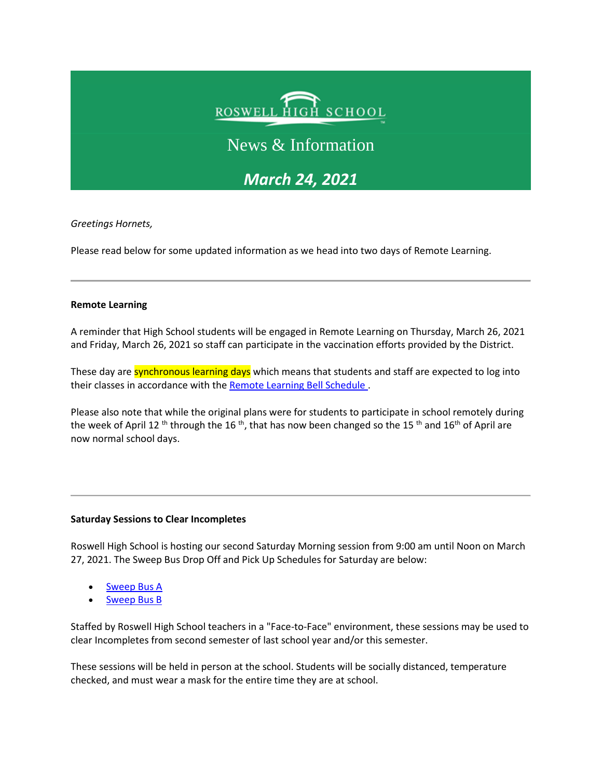# ROSWELL HIGH SCHOOL

News & Information

*March 24, 2021* 

*Greetings Hornets,* 

Please read below for some updated information as we head into two days of Remote Learning.

#### **Remote Learning**

A reminder that High School students will be engaged in Remote Learning on Thursday, March 26, 2021 and Friday, March 26, 2021 so staff can participate in the vaccination efforts provided by the District.

These day are **synchronous learning days** which means that students and staff are expected to log into their classes in accordance with the [Remote Learning Bell Schedule .](https://nam11.safelinks.protection.outlook.com/?url=http%3A%2F%2Fnew.shawadmin.com%2FRoswell%2FPublic%2Fbellschedules.pdf&data=04%7C01%7Cmurphys%40fultonschools.org%7C9b64b4b938f6482b80ef08d8eeef18a8%7C0cdcb19881694b70ba9fda7e3ba700c2%7C1%7C0%7C637522057973975173%7CUnknown%7CTWFpbGZsb3d8eyJWIjoiMC4wLjAwMDAiLCJQIjoiV2luMzIiLCJBTiI6Ik1haWwiLCJXVCI6Mn0%3D%7C1000&sdata=qp4gJPDvX7ZLWXNWBxeNaLrBKEUkHLRulQ1912R2qBU%3D&reserved=0)

Please also note that while the original plans were for students to participate in school remotely during the week of April 12<sup>th</sup> through the 16<sup>th</sup>, that has now been changed so the 15<sup>th</sup> and 16<sup>th</sup> of April are now normal school days.

### **Saturday Sessions to Clear Incompletes**

Roswell High School is hosting our second Saturday Morning session from 9:00 am until Noon on March 27, 2021. The Sweep Bus Drop Off and Pick Up Schedules for Saturday are below:

- Sweep Bus A
- Sweep Bus B

Staffed by Roswell High School teachers in a "Face-to-Face" environment, these sessions may be used to clear Incompletes from second semester of last school year and/or this semester.

These sessions will be held in person at the school. Students will be socially distanced, temperature checked, and must wear a mask for the entire time they are at school.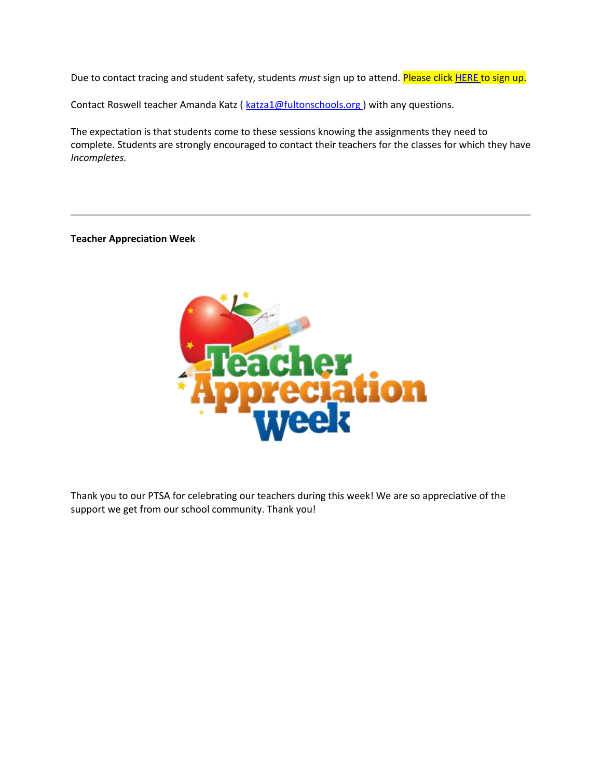Due to contact tracing and student safety, students *must* sign up to attend. Please click [HERE t](https://forms.office.com/Pages/ResponsePage.aspx?id=mLHcDGmBcEu6n9p-O6cAwify9XSUym1Hi9A9FhPxy3VURVRLN05SNkRMWjdUMTZLQTJUR0o2QkkyRy4u)o sign up.

Contact Roswell teacher Amanda Katz ( [katza1@fultonschools.org \)](mailto:katza1@fultonschools.org) with any questions.

The expectation is that students come to these sessions knowing the assignments they need to complete. Students are strongly encouraged to contact their teachers for the classes for which they have *Incompletes.* 

**Teacher Appreciation Week** 



Thank you to our PTSA for celebrating our teachers during this week! We are so appreciative of the support we get from our school community. Thank you!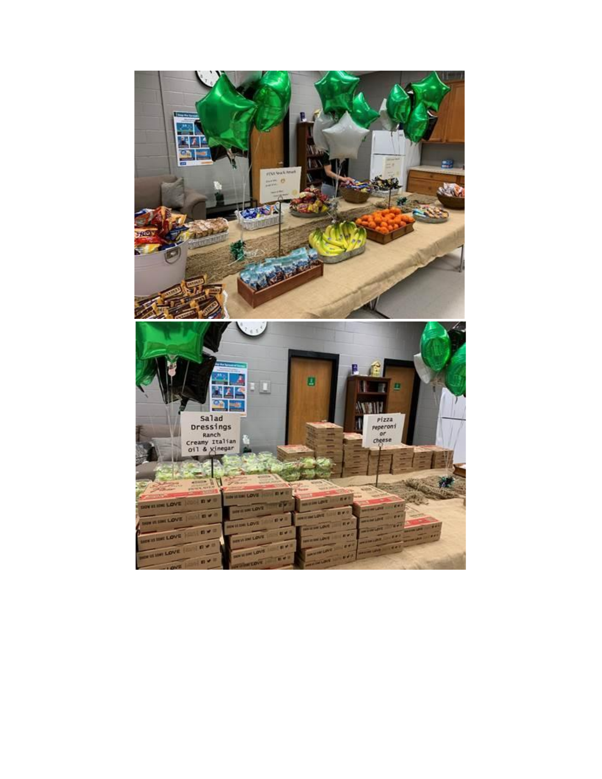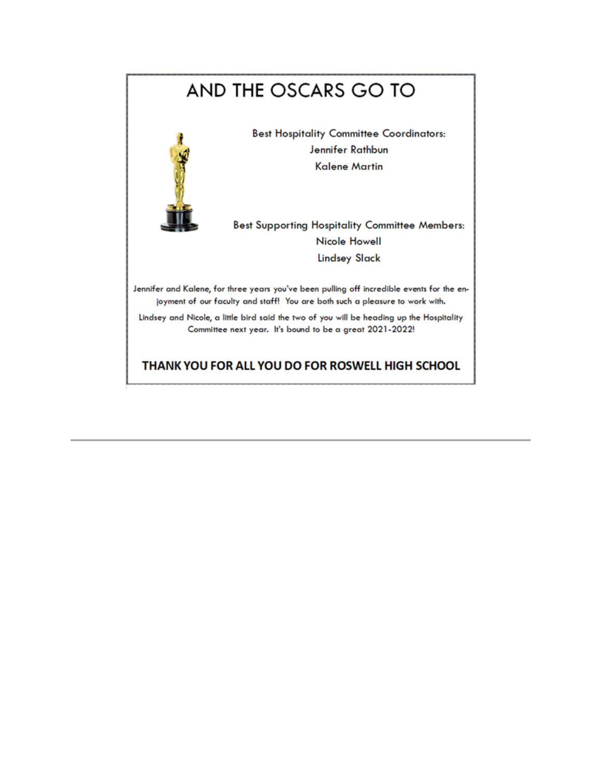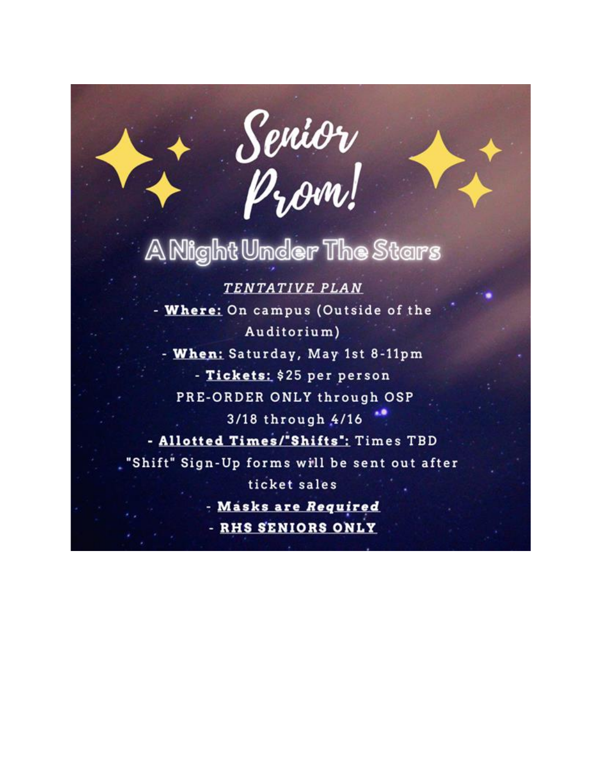

## A Night Under The Stars

**TENTATIVE PLAN** - Where: On campus (Outside of the Auditorium) - When: Saturday, May 1st 8-11pm - Tickets: \$25 per person PRE-ORDER ONLY through OSP 3/18 through 4/16 - Allotted Times/"Shifts": Times TBD "Shift" Sign-Up forms will be sent out after ticket sales Masks are Required - RHS SENIORS ONLY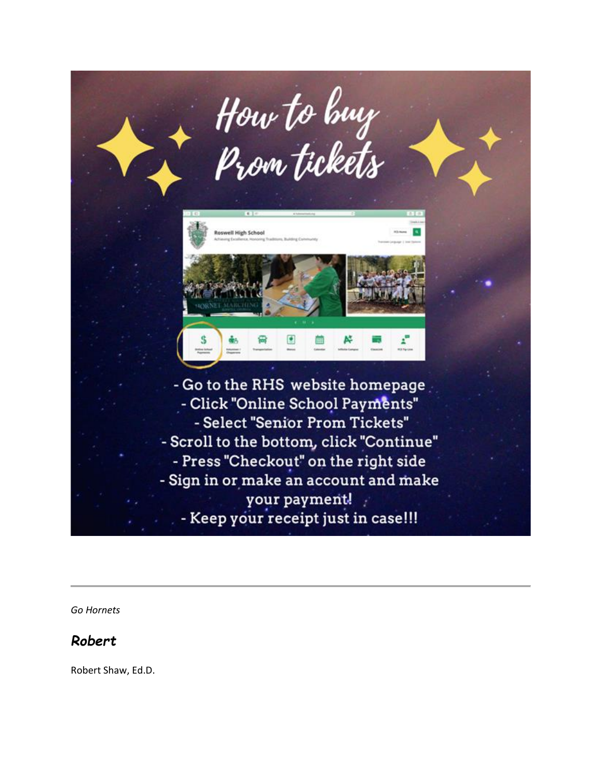

*Go Hornets*

### *Robert*

Robert Shaw, Ed.D.